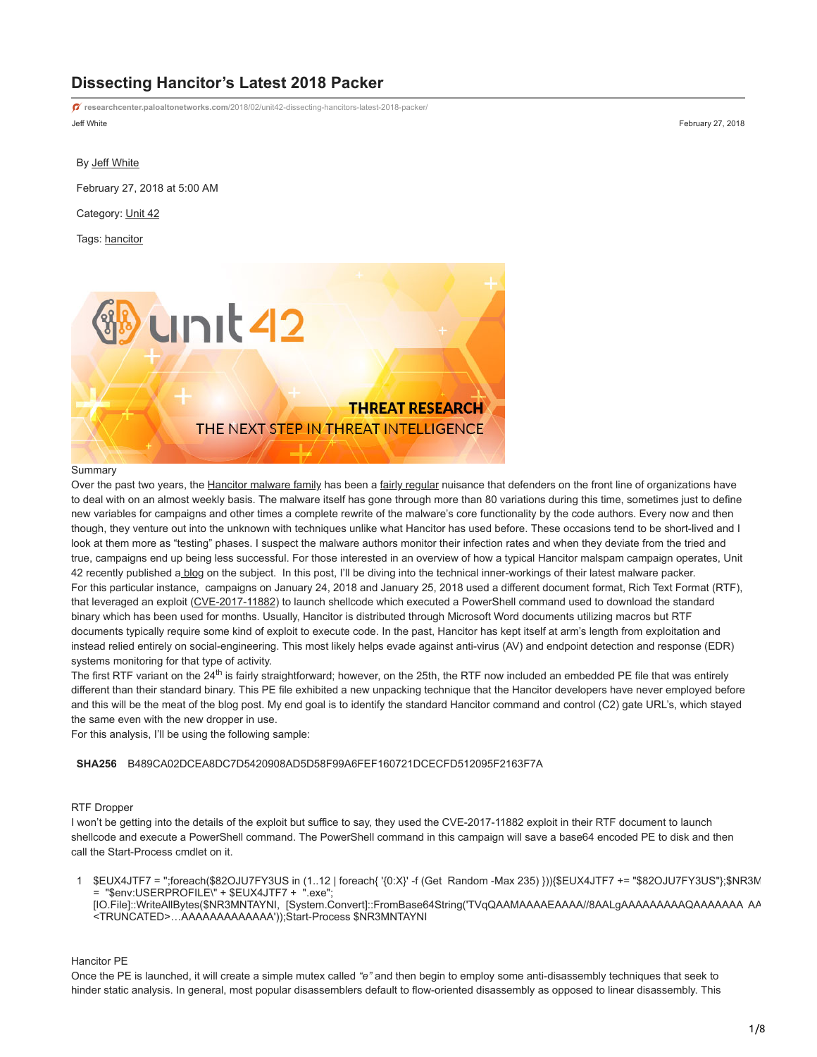# **Dissecting Hancitor's Latest 2018 Packer**

Jeff White February 27, 2018 **researchcenter.paloaltonetworks.com**[/2018/02/unit42-dissecting-hancitors-latest-2018-packer/](https://researchcenter.paloaltonetworks.com/2018/02/unit42-dissecting-hancitors-latest-2018-packer/)

#### By [Jeff White](https://unit42.paloaltonetworks.com/author/jeff-white/)

February 27, 2018 at 5:00 AM

Category: [Unit 42](https://unit42.paloaltonetworks.com/category/unit42/)

Tags: [hancitor](https://unit42.paloaltonetworks.com/tag/hancitor/)



#### Summary

Over the past two years, the [Hancitor malware family](https://blog.paloaltonetworks.com/2016/08/unit42-vb-dropper-and-shellcode-for-hancitor-reveal-new-techniques-behind-uptick/) has been a [fairly regular](https://blog.paloaltonetworks.com/2016/08/unit42-pythons-and-unicorns-and-hancitoroh-my-decoding-binaries-through-emulation/) nuisance that defenders on the front line of organizations have to deal with on an almost weekly basis. The malware itself has gone through more than 80 variations during this time, sometimes just to define new variables for campaigns and other times a complete rewrite of the malware's core functionality by the code authors. Every now and then though, they venture out into the unknown with techniques unlike what Hancitor has used before. These occasions tend to be short-lived and I look at them more as "testing" phases. I suspect the malware authors monitor their infection rates and when they deviate from the tried and true, campaigns end up being less successful. For those interested in an overview of how a typical Hancitor malspam campaign operates, Unit 42 recently published [a blog](https://blog.paloaltonetworks.com/2018/02/unit42-compromised-servers-fraud-accounts-recent-hancitor-attacks/) on the subject. In this post, I'll be diving into the technical inner-workings of their latest malware packer. For this particular instance, campaigns on January 24, 2018 and January 25, 2018 used a different document format, Rich Text Format (RTF), that leveraged an exploit ([CVE-2017-11882](https://portal.msrc.microsoft.com/en-US/security-guidance/advisory/CVE-2017-11882)) to launch shellcode which executed a PowerShell command used to download the standard binary which has been used for months. Usually, Hancitor is distributed through Microsoft Word documents utilizing macros but RTF documents typically require some kind of exploit to execute code. In the past, Hancitor has kept itself at arm's length from exploitation and instead relied entirely on social-engineering. This most likely helps evade against anti-virus (AV) and endpoint detection and response (EDR) systems monitoring for that type of activity.

The first RTF variant on the 24<sup>th</sup> is fairly straightforward; however, on the 25th, the RTF now included an embedded PE file that was entirely different than their standard binary. This PE file exhibited a new unpacking technique that the Hancitor developers have never employed before and this will be the meat of the blog post. My end goal is to identify the standard Hancitor command and control (C2) gate URL's, which stayed the same even with the new dropper in use.

For this analysis, I'll be using the following sample:

## **SHA256** B489CA02DCEA8DC7D5420908AD5D58F99A6FEF160721DCECFD512095F2163F7A

# RTF Dropper

I won't be getting into the details of the exploit but suffice to say, they used the CVE-2017-11882 exploit in their RTF document to launch shellcode and execute a PowerShell command. The PowerShell command in this campaign will save a base64 encoded PE to disk and then call the Start-Process cmdlet on it.

1 \$EUX4JTF7 = '';foreach(\$82OJU7FY3US in (1..12 | foreach{ '{0:X}' -f (Get Random -Max 235) })){\$EUX4JTF7 += "\$82OJU7FY3US"};\$NR3M = "\$env:USERPROFILE\" + \$EUX4JTF7 + ".exe"; [IO.File]::WriteAllBytes(\$NR3MNTAYNI, [System.Convert]::FromBase64String('TVqQAAMAAAAEAAAA//8AALgAAAAAAAAAQAAAAAAA AA <TRUNCATED>…AAAAAAAAAAAAA'));Start-Process \$NR3MNTAYNI

Hancitor PE

Once the PE is launched, it will create a simple mutex called *"e"* and then begin to employ some anti-disassembly techniques that seek to hinder static analysis. In general, most popular disassemblers default to flow-oriented disassembly as opposed to linear disassembly. This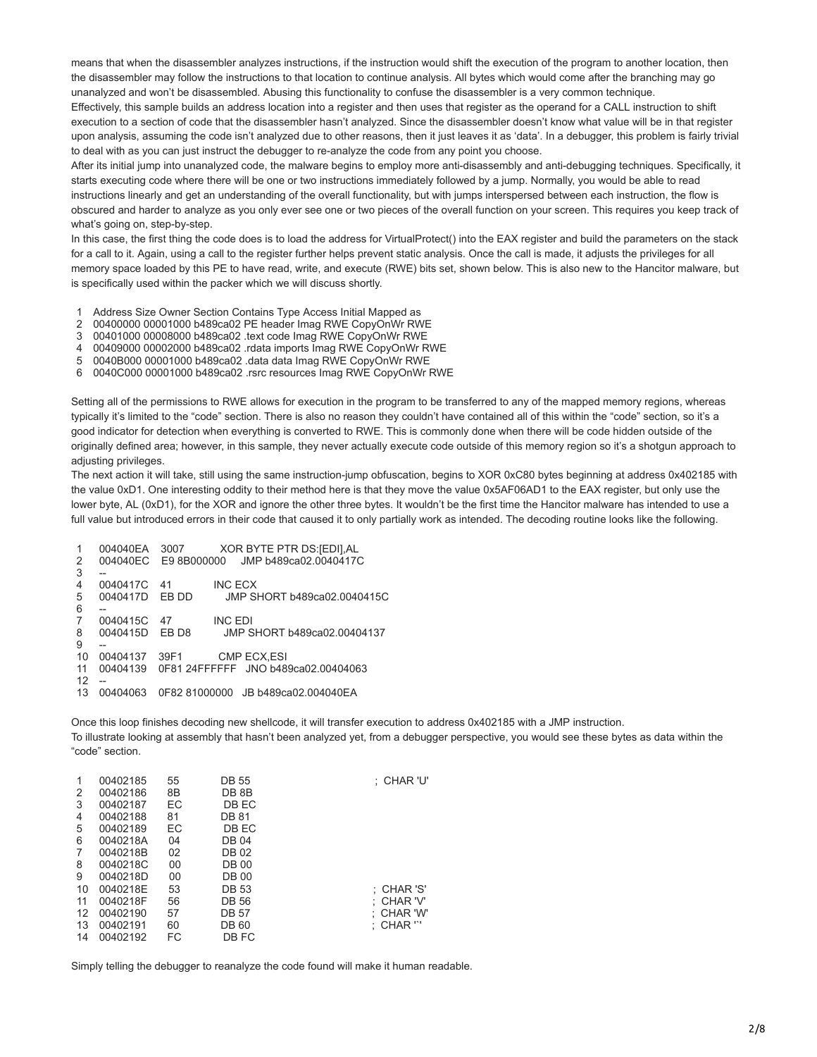means that when the disassembler analyzes instructions, if the instruction would shift the execution of the program to another location, then the disassembler may follow the instructions to that location to continue analysis. All bytes which would come after the branching may go unanalyzed and won't be disassembled. Abusing this functionality to confuse the disassembler is a very common technique.

Effectively, this sample builds an address location into a register and then uses that register as the operand for a CALL instruction to shift execution to a section of code that the disassembler hasn't analyzed. Since the disassembler doesn't know what value will be in that register upon analysis, assuming the code isn't analyzed due to other reasons, then it just leaves it as 'data'. In a debugger, this problem is fairly trivial to deal with as you can just instruct the debugger to re-analyze the code from any point you choose.

After its initial jump into unanalyzed code, the malware begins to employ more anti-disassembly and anti-debugging techniques. Specifically, it starts executing code where there will be one or two instructions immediately followed by a jump. Normally, you would be able to read instructions linearly and get an understanding of the overall functionality, but with jumps interspersed between each instruction, the flow is obscured and harder to analyze as you only ever see one or two pieces of the overall function on your screen. This requires you keep track of what's going on, step-by-step.

In this case, the first thing the code does is to load the address for VirtualProtect() into the EAX register and build the parameters on the stack for a call to it. Again, using a call to the register further helps prevent static analysis. Once the call is made, it adjusts the privileges for all memory space loaded by this PE to have read, write, and execute (RWE) bits set, shown below. This is also new to the Hancitor malware, but is specifically used within the packer which we will discuss shortly.

- 1 Address Size Owner Section Contains Type Access Initial Mapped as
- $\mathfrak{p}$ 00400000 00001000 b489ca02 PE header Imag RWE CopyOnWr RWE
- 3 00401000 00008000 b489ca02 .text code Imag RWE CopyOnWr RWE
- 4 00409000 00002000 b489ca02 .rdata imports Imag RWE CopyOnWr RWE
- 5 0040B000 00001000 b489ca02 .data data Imag RWE CopyOnWr RWE
- 6 0040C000 00001000 b489ca02 .rsrc resources Imag RWE CopyOnWr RWE

Setting all of the permissions to RWE allows for execution in the program to be transferred to any of the mapped memory regions, whereas typically it's limited to the "code" section. There is also no reason they couldn't have contained all of this within the "code" section, so it's a good indicator for detection when everything is converted to RWE. This is commonly done when there will be code hidden outside of the originally defined area; however, in this sample, they never actually execute code outside of this memory region so it's a shotgun approach to adjusting privileges.

The next action it will take, still using the same instruction-jump obfuscation, begins to XOR 0xC80 bytes beginning at address 0x402185 with the value 0xD1. One interesting oddity to their method here is that they move the value 0x5AF06AD1 to the EAX register, but only use the lower byte, AL (0xD1), for the XOR and ignore the other three bytes. It wouldn't be the first time the Hancitor malware has intended to use a full value but introduced errors in their code that caused it to only partially work as intended. The decoding routine looks like the following.

| $\mathbf{1}$   | 004040EA    | 3007  | XOR BYTE PTR DS: [EDI], AL                   |
|----------------|-------------|-------|----------------------------------------------|
| 2              |             |       | 004040EC E9 8B000000 JMP b489ca02.0040417C   |
| 3              |             |       |                                              |
| $\overline{4}$ | 0040417C 41 |       | <b>INC ECX</b>                               |
| 5              | 0040417D    | EB DD | JMP SHORT b489ca02.0040415C                  |
| 6              |             |       |                                              |
| $\overline{7}$ | 0040415C    | - 47  | <b>INC EDI</b>                               |
| 8              | 0040415D    | EB D8 | JMP SHORT b489ca02.00404137                  |
| 9              |             |       |                                              |
| 10             | 00404137    | 39F1  | CMP ECX, ESI                                 |
| 11             |             |       | 00404139 0F81 24FFFFFF JNO b489ca02.00404063 |
| 12             |             |       |                                              |
| 13             | 00404063    |       | 0F82 81000000 JB b489ca02.004040EA           |

Once this loop finishes decoding new shellcode, it will transfer execution to address 0x402185 with a JMP instruction. To illustrate looking at assembly that hasn't been analyzed yet, from a debugger perspective, you would see these bytes as data within the "code" section.

| 1<br>2 | 00402185<br>00402186 | 55<br>8B | DB 55<br>DB 8B | : CHAR 'U'   |
|--------|----------------------|----------|----------------|--------------|
| 3      | 00402187             | EC       | DB EC          |              |
| 4      | 00402188             | 81       | DB 81          |              |
| 5      | 00402189             | EC       | DB EC          |              |
| 6      | 0040218A             | 04       | <b>DB 04</b>   |              |
| 7      | 0040218B             | 02       | <b>DB 02</b>   |              |
| 8      | 0040218C             | 00       | DB 00          |              |
| 9      | 0040218D             | 00       | DB 00          |              |
| 10     | 0040218E             | 53       | DB 53          | $:$ CHAR 'S' |
| 11     | 0040218F             | 56       | DB 56          | : CHAR 'V'   |
| 12     | 00402190             | 57       | DB 57          | : CHAR 'W'   |
| 13     | 00402191             | 60       | <b>DB 60</b>   | $:$ CHAR $"$ |
| 14     | 00402192             | FC       | DB FC          |              |

Simply telling the debugger to reanalyze the code found will make it human readable.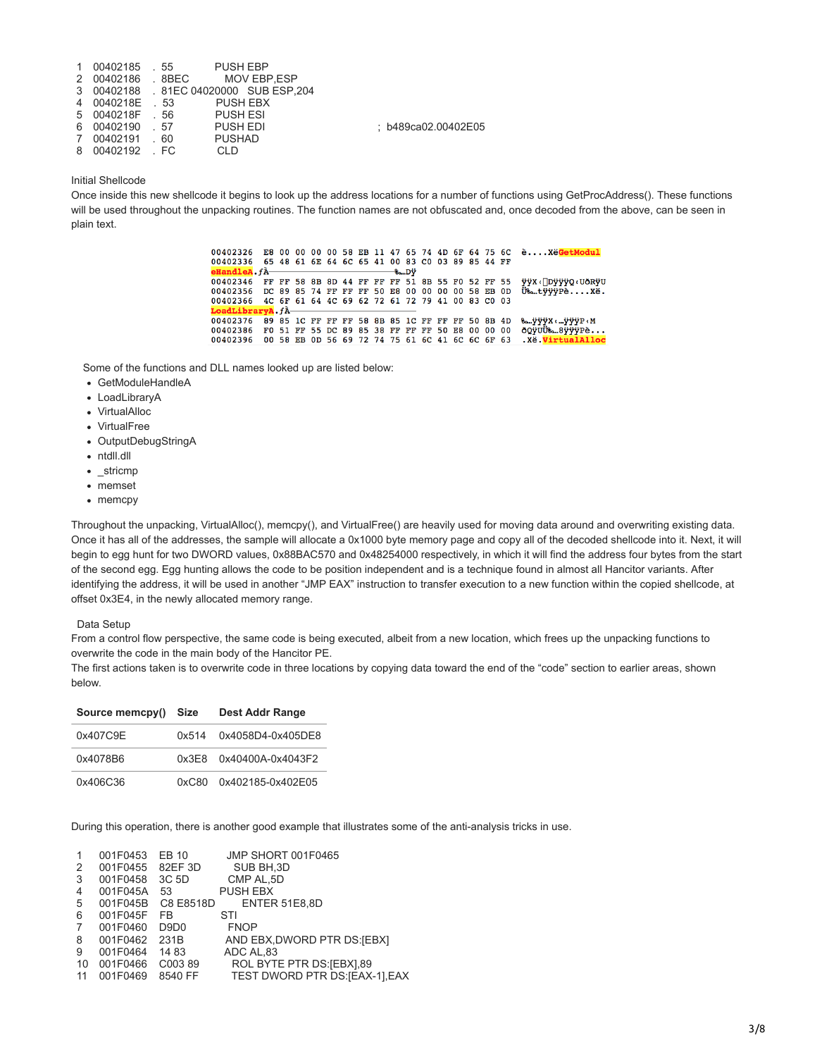|                 | 1 00402185 .55 PUSH EBP                |                     |
|-----------------|----------------------------------------|---------------------|
|                 | 2 00402186 . 8BEC MOV EBP.ESP          |                     |
|                 | 3 00402188 .81EC 04020000 SUB ESP, 204 |                     |
| 4 0040218E . 53 | PUSH EBX                               |                     |
|                 | 5 0040218F 56 PUSH ESI                 |                     |
| 6 00402190 .57  | <b>PUSH EDI</b>                        | : b489ca02.00402E05 |
| 7 00402191 60   | <b>PUSHAD</b>                          |                     |
| 8 00402192 FC   | CLD                                    |                     |

#### Initial Shellcode

Once inside this new shellcode it begins to look up the address locations for a number of functions using GetProcAddress(). These functions will be used throughout the unpacking routines. The function names are not obfuscated and, once decoded from the above, can be seen in plain text.

> 00402326 E8 00 00 00 00 58 EB 11 47 65 74 4D 6F 64 75 6C è.... XëGetModul 65 48 61 6E 64 6C 65 41 00 83 C0 03 89 85 44 FF 00402336  $-8a.$ Dÿ **IandleA.**fÀ-00402346 FF FF 58 8B 8D 44 FF FF F5 1 8B 55 F0 52 FF 55<br>00402356 DC 89 85 74 FF FF FF 50 E8 00 00 00 00 58 EB 0D<br>00402366 4C 6F 61 64 4C 69 62 72 61 72 79 41 00 83 C0 03 yA.fÀ bra 00402376 89 85 1C FF FF FF 58 8B 85 1C FF FF FF 50 8B 4D % ... ў ў ук. ... ў учесм 00402386 F0 51 FF 55 DC 89 85 38 FF FF FF 50 E8 00 00 00<br>00402396 00 58 EB 0D 56 69 72 74 75 61 6C 41 6C 6C 6F 63 öQyuU%.8yyyPè... .Xë.Virtua

Some of the functions and DLL names looked up are listed below:

- GetModuleHandleA
- LoadLibraryA
- VirtualAlloc
- VirtualFree
- OutputDebugStringA
- ntdll.dll
- \_stricmp
- memset
- memcpy

Throughout the unpacking, VirtualAlloc(), memcpy(), and VirtualFree() are heavily used for moving data around and overwriting existing data. Once it has all of the addresses, the sample will allocate a 0x1000 byte memory page and copy all of the decoded shellcode into it. Next, it will begin to egg hunt for two DWORD values, 0x88BAC570 and 0x48254000 respectively, in which it will find the address four bytes from the start of the second egg. Egg hunting allows the code to be position independent and is a technique found in almost all Hancitor variants. After identifying the address, it will be used in another "JMP EAX" instruction to transfer execution to a new function within the copied shellcode, at offset 0x3E4, in the newly allocated memory range.

## Data Setup

From a control flow perspective, the same code is being executed, albeit from a new location, which frees up the unpacking functions to overwrite the code in the main body of the Hancitor PE.

The first actions taken is to overwrite code in three locations by copying data toward the end of the "code" section to earlier areas, shown below.

| Source memcpy() | Size  | Dest Addr Range         |
|-----------------|-------|-------------------------|
| 0x407C9E        |       | 0x514 0x4058D4-0x405DE8 |
| 0x4078B6        |       | 0x3E8 0x40400A-0x4043F2 |
| 0x406C36        | 0xC80 | 0x402185-0x402E05       |

During this operation, there is another good example that illustrates some of the anti-analysis tricks in use.

| 1  | 001F0453 | EB 10            | JMP SHORT 001F0465              |
|----|----------|------------------|---------------------------------|
| 2  | 001F0455 | 82EF 3D          | SUB BH, 3D                      |
| 3  | 001F0458 | 3C 5D            | CMP AL, 5D                      |
| 4  | 001F045A | 53               | <b>PUSH EBX</b>                 |
| 5  | 001F045B | C8 E8518D        | <b>ENTER 51E8.8D</b>            |
| 6  | 001F045F | <b>FB</b>        | STI                             |
| 7  | 001F0460 | D9D <sub>0</sub> | <b>FNOP</b>                     |
| 8  | 001F0462 | 231B             | AND EBX, DWORD PTR DS: [EBX]    |
| 9  | 001F0464 | 1483             | ADC AL,83                       |
| 10 | 001F0466 | C00389           | ROL BYTE PTR DS: [EBX], 89      |
| 11 | 001F0469 | 8540 FF          | TEST DWORD PTR DS: [EAX-1], EAX |
|    |          |                  |                                 |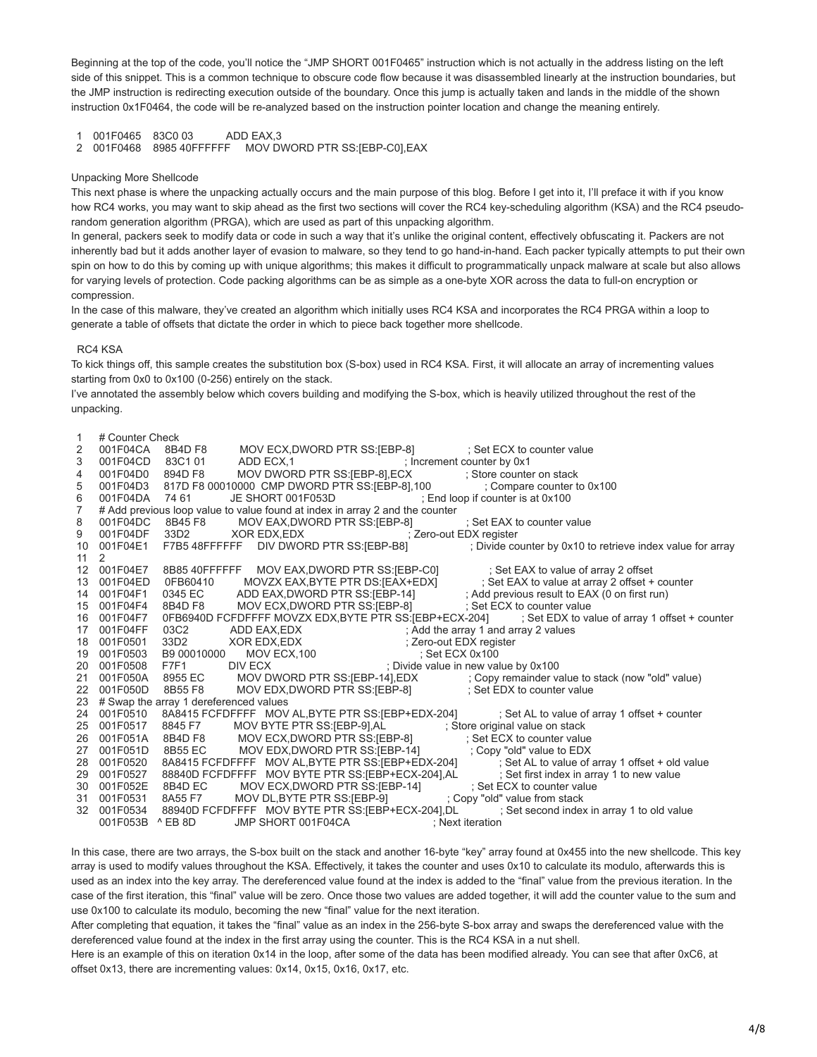Beginning at the top of the code, you'll notice the "JMP SHORT 001F0465" instruction which is not actually in the address listing on the left side of this snippet. This is a common technique to obscure code flow because it was disassembled linearly at the instruction boundaries, but the JMP instruction is redirecting execution outside of the boundary. Once this jump is actually taken and lands in the middle of the shown instruction 0x1F0464, the code will be re-analyzed based on the instruction pointer location and change the meaning entirely.

1 001F0465 83C0 03 ADD EAX,3

2 001F0468 8985 40FFFFFF MOV DWORD PTR SS:[EBP-C0],EAX

## Unpacking More Shellcode

This next phase is where the unpacking actually occurs and the main purpose of this blog. Before I get into it, I'll preface it with if you know how RC4 works, you may want to skip ahead as the first two sections will cover the RC4 key-scheduling algorithm (KSA) and the RC4 pseudorandom generation algorithm (PRGA), which are used as part of this unpacking algorithm.

In general, packers seek to modify data or code in such a way that it's unlike the original content, effectively obfuscating it. Packers are not inherently bad but it adds another layer of evasion to malware, so they tend to go hand-in-hand. Each packer typically attempts to put their own spin on how to do this by coming up with unique algorithms; this makes it difficult to programmatically unpack malware at scale but also allows for varying levels of protection. Code packing algorithms can be as simple as a one-byte XOR across the data to full-on encryption or compression.

In the case of this malware, they've created an algorithm which initially uses RC4 KSA and incorporates the RC4 PRGA within a loop to generate a table of offsets that dictate the order in which to piece back together more shellcode.

## RC4 KSA

To kick things off, this sample creates the substitution box (S-box) used in RC4 KSA. First, it will allocate an array of incrementing values starting from 0x0 to 0x100 (0-256) entirely on the stack.

I've annotated the assembly below which covers building and modifying the S-box, which is heavily utilized throughout the rest of the unpacking.

| 1<br>2<br>3       | # Counter Check      | 001F04CA 8B4D F8 MOV ECX,DWORD PTR SS:[EBP-8] ; Set ECX to counter value<br>001F04CD 83C1 01 ADD ECX,1 ; Increment counter by 0x1<br>001F04D0 894D F8 MOV DWORD PTR SS:[EBP-8],ECX ; Store counter on stack                          |
|-------------------|----------------------|--------------------------------------------------------------------------------------------------------------------------------------------------------------------------------------------------------------------------------------|
| 4                 |                      |                                                                                                                                                                                                                                      |
| 5                 |                      | 001F04D3 817D F8 00010000 CMP DWORD PTR SS:[EBP-8],100 ; Compare counter to 0x100                                                                                                                                                    |
| $\,6\,$           |                      | 001F04DA 74 61 JE SHORT 001F053D ; End loop if counter is at 0x100                                                                                                                                                                   |
| $\boldsymbol{7}$  |                      | # Add previous loop value to value found at index in array 2 and the counter                                                                                                                                                         |
| 8                 | 001F04DC             | 8B45 F8 MOV EAX, DWORD PTR SS: [EBP-8] [39] Set EAX to counter value                                                                                                                                                                 |
| 9                 |                      | 001F04DF 33D2 XOR EDX,EDX ; Zero-out EDX register                                                                                                                                                                                    |
| 10                |                      | 001F04E1 F7B5 48FFFFFF DIV DWORD PTR SS:[EBP-B8] ; Divide counter by 0x10 to retrieve index value for array                                                                                                                          |
| 11                | 2                    |                                                                                                                                                                                                                                      |
| $12 \overline{ }$ |                      | 001F04E7 8B85 40FFFFFF MOV EAX,DWORD PTR SS:[EBP-C0] ; Set EAX to value of array 2 offset<br>001F04ED 0FB60410 MOVZX EAX,BYTE PTR DS:[EAX+EDX] ; Set EAX to value at array 2 offset + counter<br>001F04F1 0345 EC ADD EAX,DWORD PTR  |
| 13                |                      |                                                                                                                                                                                                                                      |
| 14                |                      |                                                                                                                                                                                                                                      |
| 15                |                      |                                                                                                                                                                                                                                      |
| 16<br>17          | 001F04F7<br>001F04FF | 0FB6940D FCFDFFFF MOVZX EDX, BYTE PTR SS: [EBP+ECX-204] ; Set EDX to value of array 1 offset + counter                                                                                                                               |
| 18                | 001F0501             |                                                                                                                                                                                                                                      |
| 19                | 001F0503             | 03C2 ADD EAX,EDX<br>33D2 XOR EDX,EDX<br>B9 00010000 MOV ECX,100<br>F7F1 DIV ECX ;Divide value in new value by 0x100                                                                                                                  |
| 20                | 001F0508             |                                                                                                                                                                                                                                      |
| 21                |                      |                                                                                                                                                                                                                                      |
| 22                |                      | 001F050A 8955 EC MOV DWORD PTR SS:[EBP-14],EDX ; Copy remainder value to stack (now "old" value)<br>001F050D 8B55 F8 MOV EDX,DWORD PTR SS:[EBP-8] ; Set EDX to counter value                                                         |
|                   |                      | 23 # Swap the array 1 dereferenced values                                                                                                                                                                                            |
| 24                |                      | 001F0510 8A8415 FCFDFFFF MOV AL, BYTE PTR SS: [EBP+EDX-204] ; Set AL to value of array 1 offset + counter                                                                                                                            |
| 25                |                      |                                                                                                                                                                                                                                      |
| 26                |                      | 001F0517 8845 F7 MOV BYTE PTR SS:[EBP-9].AL ; Store original value on stack<br>001F0517 8845 F7 MOV BYTE PTR SS:[EBP-9].AL ; Store original value on stack<br>001F051D 8B55 EC MOV EDX,DWORD PTR SS:[EBP-14] ; Copy "old" value to E |
| 27                |                      |                                                                                                                                                                                                                                      |
| 28                |                      |                                                                                                                                                                                                                                      |
| 29                |                      |                                                                                                                                                                                                                                      |
| 30                |                      |                                                                                                                                                                                                                                      |
| 31                |                      | 001F052E 8B4D EC MOV ECX,DWORD PTR SS:[EBP-14] ; Set ECX to counter value<br>001F0531 8A55 F7 MOV DL,BYTE PTR SS:[EBP-9] ; Copy "old" value from stack                                                                               |
|                   |                      | 32 001F0534 88940D FCFDFFFF MOV BYTE PTR SS:[EBP+ECX-204],DL ; Set second index in array 1 to old value                                                                                                                              |
|                   |                      | 001F053B ^ EB 8D JMP SHORT 001F04CA<br>: Next iteration                                                                                                                                                                              |
|                   |                      |                                                                                                                                                                                                                                      |

In this case, there are two arrays, the S-box built on the stack and another 16-byte "key" array found at 0x455 into the new shellcode. This key array is used to modify values throughout the KSA. Effectively, it takes the counter and uses 0x10 to calculate its modulo, afterwards this is used as an index into the key array. The dereferenced value found at the index is added to the "final" value from the previous iteration. In the case of the first iteration, this "final" value will be zero. Once those two values are added together, it will add the counter value to the sum and use 0x100 to calculate its modulo, becoming the new "final" value for the next iteration.

After completing that equation, it takes the "final" value as an index in the 256-byte S-box array and swaps the dereferenced value with the dereferenced value found at the index in the first array using the counter. This is the RC4 KSA in a nut shell.

Here is an example of this on iteration 0x14 in the loop, after some of the data has been modified already. You can see that after 0xC6, at offset 0x13, there are incrementing values: 0x14, 0x15, 0x16, 0x17, etc.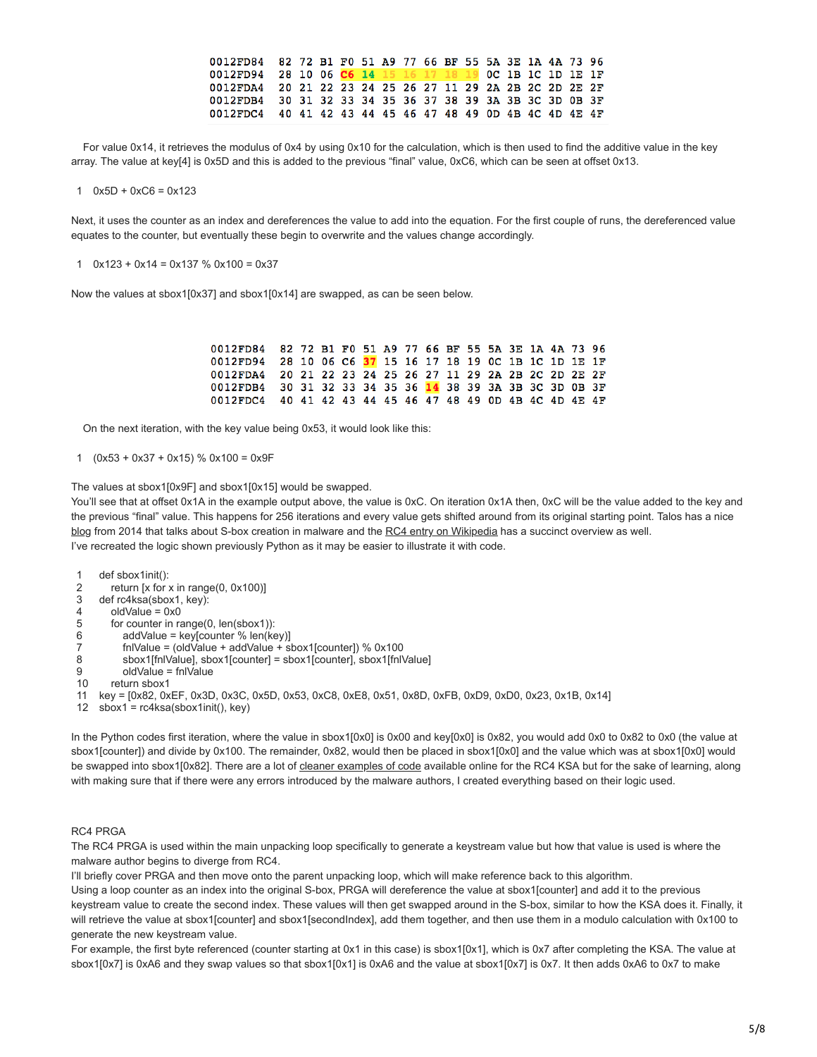| 0012FD84 82 72 B1 F0 51 A9 77 66 BF 55 5A 3E 1A 4A 73 96 |  |  |  |  |  |  |  |  |
|----------------------------------------------------------|--|--|--|--|--|--|--|--|
| 0012FD94 28 10 06 C6 14 15 16 17 18 19 0C 1B 1C 1D 1E 1F |  |  |  |  |  |  |  |  |
| 0012FDA4 20 21 22 23 24 25 26 27 11 29 2A 2B 2C 2D 2E 2F |  |  |  |  |  |  |  |  |
| 0012FDB4 30 31 32 33 34 35 36 37 38 39 3A 3B 3C 3D 0B 3F |  |  |  |  |  |  |  |  |
| 0012FDC4 40 41 42 43 44 45 46 47 48 49 0D 4B 4C 4D 4E 4F |  |  |  |  |  |  |  |  |

 For value 0x14, it retrieves the modulus of 0x4 by using 0x10 for the calculation, which is then used to find the additive value in the key array. The value at key[4] is 0x5D and this is added to the previous "final" value, 0xC6, which can be seen at offset 0x13.

1  $0x5D + 0xC6 = 0x123$ 

Next, it uses the counter as an index and dereferences the value to add into the equation. For the first couple of runs, the dereferenced value equates to the counter, but eventually these begin to overwrite and the values change accordingly.

## 1  $0x123 + 0x14 = 0x137 %$   $0x100 = 0x37$

Now the values at sbox1[0x37] and sbox1[0x14] are swapped, as can be seen below.

| 0012FD84 82 72 B1 F0 51 A9 77 66 BF 55 5A 3E 1A 4A 73 96 |  |  |  |  |  |  |  |  |
|----------------------------------------------------------|--|--|--|--|--|--|--|--|
| 0012FD94 28 10 06 C6 37 15 16 17 18 19 0C 1B 1C 1D 1E 1F |  |  |  |  |  |  |  |  |
| 0012FDA4 20 21 22 23 24 25 26 27 11 29 2A 2B 2C 2D 2E 2F |  |  |  |  |  |  |  |  |
| 0012FDB4 30 31 32 33 34 35 36 14 38 39 3A 3B 3C 3D 0B 3F |  |  |  |  |  |  |  |  |
| 0012FDC4 40 41 42 43 44 45 46 47 48 49 0D 4B 4C 4D 4E 4F |  |  |  |  |  |  |  |  |

On the next iteration, with the key value being 0x53, it would look like this:

1 (0x53 + 0x37 + 0x15) % 0x100 = 0x9F

The values at sbox1[0x9F] and sbox1[0x15] would be swapped.

You'll see that at offset 0x1A in the example output above, the value is 0xC. On iteration 0x1A then, 0xC will be the value added to the key and the previous "final" value. This happens for 256 iterations and every value gets shifted around from its original starting point. Talos has a nice [blog](http://blog.talosintelligence.com/2014/06/an-introduction-to-recognizing-and.html) from 2014 that talks about S-box creation in malware and the [RC4 entry on Wikipedia](https://en.wikipedia.org/wiki/RC4) has a succinct overview as well. I've recreated the logic shown previously Python as it may be easier to illustrate it with code.

1 def sbox1init():

- 2 return [x for x in range(0, 0x100)]
- 3 def rc4ksa(sbox1, key):
- 4 oldValue = 0x0
- 5 for counter in range(0, len(sbox1)):
- 6 addValue = key[counter % len(key)]
- 7 fnlValue = (oldValue + addValue + sbox1[counter]) % 0x100
- 8 sbox1[fnlValue], sbox1[counter] = sbox1[counter], sbox1[fnlValue]
- 9 oldValue = fnlValue
- 10 return sbox1
- 11 key = [0x82, 0xEF, 0x3D, 0x3C, 0x5D, 0x53, 0xC8, 0xE8, 0x51, 0x8D, 0xFB, 0xD9, 0xD0, 0x23, 0x1B, 0x14]
- 12 sbox1 = rc4ksa(sbox1init(), key)

In the Python codes first iteration, where the value in sbox1[0x0] is 0x00 and key[0x0] is 0x82, you would add 0x0 to 0x82 to 0x0 (the value at sbox1[counter]) and divide by 0x100. The remainder, 0x82, would then be placed in sbox1[0x0] and the value which was at sbox1[0x0] would be swapped into sbox1[0x82]. There are a lot of [cleaner examples of code](https://en.wikipedia.org/wiki/RC4) available online for the RC4 KSA but for the sake of learning, along with making sure that if there were any errors introduced by the malware authors, I created everything based on their logic used.

## RC4 PRGA

The RC4 PRGA is used within the main unpacking loop specifically to generate a keystream value but how that value is used is where the malware author begins to diverge from RC4.

I'll briefly cover PRGA and then move onto the parent unpacking loop, which will make reference back to this algorithm.

Using a loop counter as an index into the original S-box, PRGA will dereference the value at sbox1[counter] and add it to the previous keystream value to create the second index. These values will then get swapped around in the S-box, similar to how the KSA does it. Finally, it will retrieve the value at sbox1[counter] and sbox1[secondIndex], add them together, and then use them in a modulo calculation with 0x100 to generate the new keystream value.

For example, the first byte referenced (counter starting at 0x1 in this case) is sbox1[0x1], which is 0x7 after completing the KSA. The value at sbox1[0x7] is 0xA6 and they swap values so that sbox1[0x1] is 0xA6 and the value at sbox1[0x7] is 0x7. It then adds 0xA6 to 0x7 to make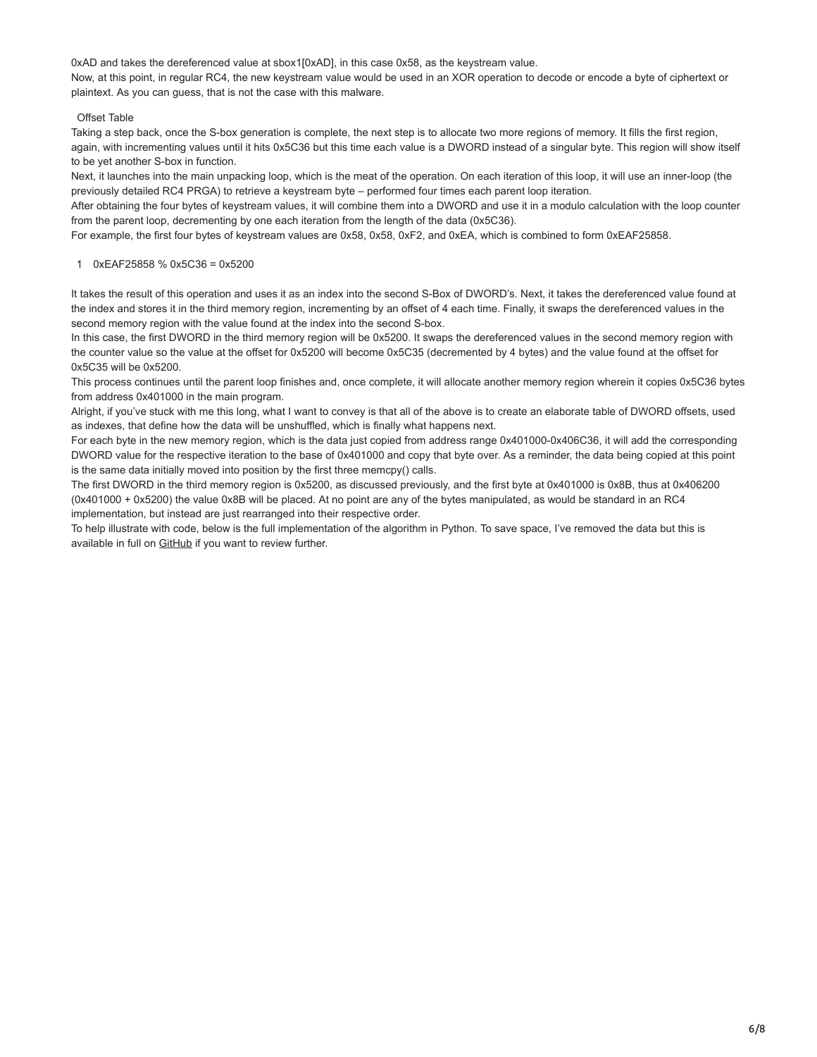0xAD and takes the dereferenced value at sbox1[0xAD], in this case 0x58, as the keystream value. Now, at this point, in regular RC4, the new keystream value would be used in an XOR operation to decode or encode a byte of ciphertext or plaintext. As you can guess, that is not the case with this malware.

# Offset Table

Taking a step back, once the S-box generation is complete, the next step is to allocate two more regions of memory. It fills the first region, again, with incrementing values until it hits 0x5C36 but this time each value is a DWORD instead of a singular byte. This region will show itself to be yet another S-box in function.

Next, it launches into the main unpacking loop, which is the meat of the operation. On each iteration of this loop, it will use an inner-loop (the previously detailed RC4 PRGA) to retrieve a keystream byte – performed four times each parent loop iteration.

After obtaining the four bytes of keystream values, it will combine them into a DWORD and use it in a modulo calculation with the loop counter from the parent loop, decrementing by one each iteration from the length of the data (0x5C36).

For example, the first four bytes of keystream values are 0x58, 0x58, 0xF2, and 0xEA, which is combined to form 0xEAF25858.

# 1 0xEAF25858 % 0x5C36 = 0x5200

It takes the result of this operation and uses it as an index into the second S-Box of DWORD's. Next, it takes the dereferenced value found at the index and stores it in the third memory region, incrementing by an offset of 4 each time. Finally, it swaps the dereferenced values in the second memory region with the value found at the index into the second S-box.

In this case, the first DWORD in the third memory region will be 0x5200. It swaps the dereferenced values in the second memory region with the counter value so the value at the offset for 0x5200 will become 0x5C35 (decremented by 4 bytes) and the value found at the offset for 0x5C35 will be 0x5200.

This process continues until the parent loop finishes and, once complete, it will allocate another memory region wherein it copies 0x5C36 bytes from address 0x401000 in the main program.

Alright, if you've stuck with me this long, what I want to convey is that all of the above is to create an elaborate table of DWORD offsets, used as indexes, that define how the data will be unshuffled, which is finally what happens next.

For each byte in the new memory region, which is the data just copied from address range 0x401000-0x406C36, it will add the corresponding DWORD value for the respective iteration to the base of 0x401000 and copy that byte over. As a reminder, the data being copied at this point is the same data initially moved into position by the first three memcpy() calls.

The first DWORD in the third memory region is 0x5200, as discussed previously, and the first byte at 0x401000 is 0x8B, thus at 0x406200 (0x401000 + 0x5200) the value 0x8B will be placed. At no point are any of the bytes manipulated, as would be standard in an RC4 implementation, but instead are just rearranged into their respective order.

To help illustrate with code, below is the full implementation of the algorithm in Python. To save space, I've removed the data but this is available in full on **GitHub** if you want to review further.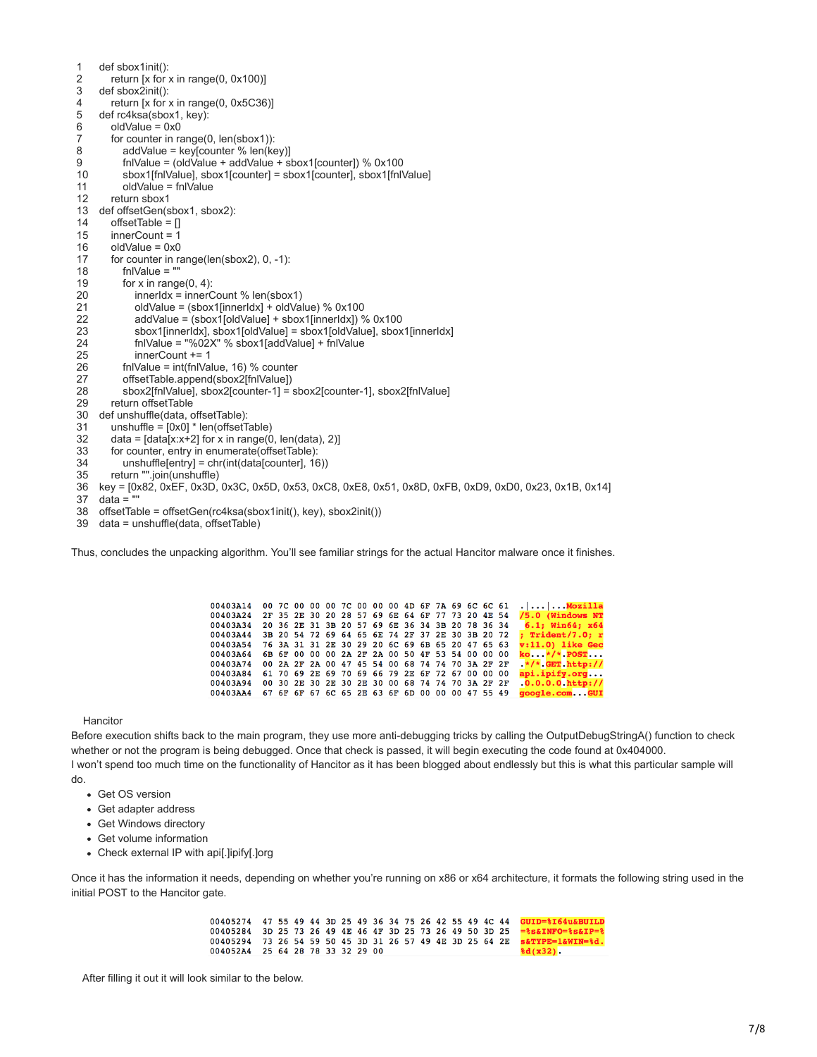1 2 3 4 5 6 7 8 9 10 11 12 13 def offsetGen(sbox1, sbox2): 14 15 16 17 18 19 20 21 22 23 24 25 26 27 28 29 30 31 32 33 34 35 36 key = [0x82, 0xEF, 0x3D, 0x3C, 0x5D, 0x53, 0xC8, 0xE8, 0x51, 0x8D, 0xFB, 0xD9, 0xD0, 0x23, 0x1B, 0x14] def sbox1init(): return [x for x in range(0, 0x100)] def sbox2init(): return [x for x in range(0, 0x5C36)] def rc4ksa(sbox1, key): oldValue = 0x0 for counter in range(0, len(sbox1)): addValue = key[counter % len(key)] fnlValue = (oldValue + addValue + sbox1[counter]) % 0x100 sbox1[fnlValue], sbox1[counter] = sbox1[counter], sbox1[fnlValue] oldValue = fnlValue return sbox1  $offsetTable = []$  innerCount = 1 oldValue = 0x0 for counter in range(len(sbox2), 0, -1): fnlValue = "" for  $x$  in range( $0, 4$ ): innerIdx = innerCount % len(sbox1) oldValue =  $(sbox1[innerldx] + oldValue)$  % 0x100 addValue = (sbox1[oldValue] + sbox1[innerIdx]) % 0x100 sbox1[innerIdx], sbox1[oldValue] = sbox1[oldValue], sbox1[innerIdx] fnlValue = "%02X" % sbox1[addValue] + fnlValue innerCount += 1 fnlValue = int(fnlValue, 16) % counter offsetTable.append(sbox2[fnlValue]) sbox2[fnlValue], sbox2[counter-1] = sbox2[counter-1], sbox2[fnlValue] return offsetTable def unshuffle(data, offsetTable): unshuffle = [0x0] \* len(offsetTable) data =  $[data[x:x+2]$  for x in range(0, len(data), 2)] for counter, entry in enumerate(offsetTable): unshuffle[entry] = chr(int(data[counter], 16)) return "".join(unshuffle)

- 37  $data =$
- 38 offsetTable = offsetGen(rc4ksa(sbox1init(), key), sbox2init())
- 39 data = unshuffle(data, offsetTable)

Thus, concludes the unpacking algorithm. You'll see familiar strings for the actual Hancitor malware once it finishes.

| 00403A14 00 7C 00 00 00 7C 00 00 00 4D 6F 7A 69 6C 6C 61 |  |  |                                                 |  |  |  |  |  | $\ldots$ Mozilla          |
|----------------------------------------------------------|--|--|-------------------------------------------------|--|--|--|--|--|---------------------------|
| 00403A24                                                 |  |  | 2F 35 2E 30 20 28 57 69 6E 64 6F 77 73 20 4E 54 |  |  |  |  |  | /5.0 (Windows NT          |
| 00403A34                                                 |  |  | 20 36 2E 31 3B 20 57 69 6E 36 34 3B 20 78 36 34 |  |  |  |  |  | $6.1:$ Win64: $x64$       |
| 00403A44                                                 |  |  | 3B 20 54 72 69 64 65 6E 74 2F 37 2E 30 3B 20 72 |  |  |  |  |  | $:$ Trident/7.0: $r$      |
| 00403A54                                                 |  |  | 76 3A 31 31 2E 30 29 20 6C 69 6B 65 20 47 65 63 |  |  |  |  |  | $v:11.0$ ) like Gec       |
| 00403A64                                                 |  |  | 6B 6F 00 00 00 2A 2F 2A 00 50 4F 53 54 00 00 00 |  |  |  |  |  | $ko*/*$ POST              |
| 00403A74                                                 |  |  | 00 2A 2F 2A 00 47 45 54 00 68 74 74 70 3A 2F 2F |  |  |  |  |  | $\star/\star$ GET http:// |
| 00403A84                                                 |  |  | 61 70 69 2E 69 70 69 66 79 2E 6F 72 67 00 00 00 |  |  |  |  |  | api.ipify.org             |
| 00403A94                                                 |  |  | 00 30 2E 30 2E 30 2E 30 00 68 74 74 70 3A 2F 2F |  |  |  |  |  | $.0.0.0.0.$ http://       |
| 00403AA4                                                 |  |  | 67 6F 6F 67 6C 65 2E 63 6F 6D 00 00 00 47 55 49 |  |  |  |  |  | google.com .GUI           |

**Hancitor** 

Before execution shifts back to the main program, they use more anti-debugging tricks by calling the OutputDebugStringA() function to check whether or not the program is being debugged. Once that check is passed, it will begin executing the code found at 0x404000. I won't spend too much time on the functionality of Hancitor as it has been blogged about endlessly but this is what this particular sample will do.

- Get OS version
- Get adapter address
- Get Windows directory
- Get volume information
- Check external IP with api[.]ipify[.]org

Once it has the information it needs, depending on whether you're running on x86 or x64 architecture, it formats the following string used in the initial POST to the Hancitor gate.

> 47 55 49 44 3D 25 49 36 34 75 26 42 55 49 4C 44 GUID=%I64u&BUILD 00405274 00405284 3D 25 73 26 49 4E 46 4F 3D 25 73 26 49 50 3D 25  $=$  % s& INFO= % s& IP= % 73 26 54 59 50 45 3D 31 26 57 49 4E 3D 25 64 2E s&TYPE=1&WIN=%d. 00405294  $dd(x32)$ 004052A4 25 64 28 78 33 32 29 00

After filling it out it will look similar to the below.